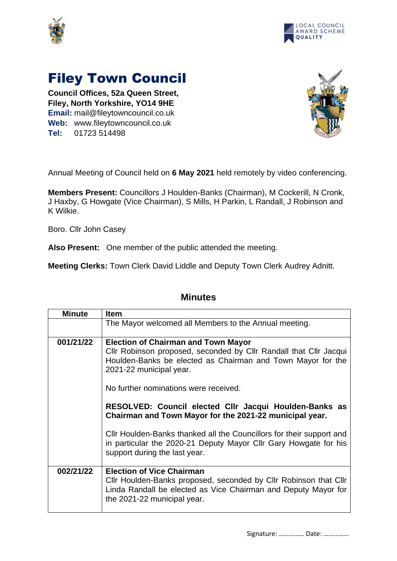



## Filey Town Council

**Council Offices, 52a Queen Street, Filey, North Yorkshire, YO14 9HE Email:** mail@fileytowncouncil.co.uk **Web:** www.fileytowncouncil.co.uk **Tel:** 01723 514498



Annual Meeting of Council held on **6 May 2021** held remotely by video conferencing.

**Members Present:** Councillors J Houlden-Banks (Chairman), M Cockerill, N Cronk, J Haxby, G Howgate (Vice Chairman), S Mills, H Parkin, L Randall, J Robinson and K Wilkie.

Boro. Cllr John Casey

**Also Present:** One member of the public attended the meeting.

**Meeting Clerks:** Town Clerk David Liddle and Deputy Town Clerk Audrey Adnitt.

| <b>Minute</b> | <b>Item</b>                                                                                                                                                                                                                                        |
|---------------|----------------------------------------------------------------------------------------------------------------------------------------------------------------------------------------------------------------------------------------------------|
|               | The Mayor welcomed all Members to the Annual meeting.                                                                                                                                                                                              |
| 001/21/22     | <b>Election of Chairman and Town Mayor</b><br>Cllr Robinson proposed, seconded by Cllr Randall that Cllr Jacqui<br>Houlden-Banks be elected as Chairman and Town Mayor for the<br>2021-22 municipal year.<br>No further nominations were received. |
|               | RESOLVED: Council elected CIIr Jacqui Houlden-Banks as<br>Chairman and Town Mayor for the 2021-22 municipal year.                                                                                                                                  |
|               | Cllr Houlden-Banks thanked all the Councillors for their support and<br>in particular the 2020-21 Deputy Mayor Cllr Gary Howgate for his<br>support during the last year.                                                                          |
| 002/21/22     | <b>Election of Vice Chairman</b><br>Cllr Houlden-Banks proposed, seconded by Cllr Robinson that Cllr<br>Linda Randall be elected as Vice Chairman and Deputy Mayor for<br>the 2021-22 municipal year.                                              |

## **Minutes**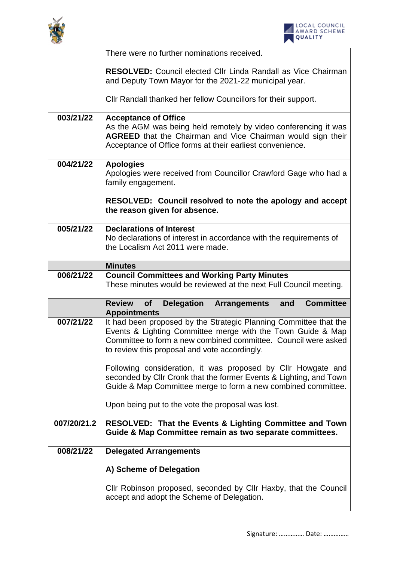



|             | There were no further nominations received.                                                                                                                                                                                                         |
|-------------|-----------------------------------------------------------------------------------------------------------------------------------------------------------------------------------------------------------------------------------------------------|
|             | <b>RESOLVED:</b> Council elected Cllr Linda Randall as Vice Chairman<br>and Deputy Town Mayor for the 2021-22 municipal year.                                                                                                                       |
|             | Cllr Randall thanked her fellow Councillors for their support.                                                                                                                                                                                      |
| 003/21/22   | <b>Acceptance of Office</b>                                                                                                                                                                                                                         |
|             | As the AGM was being held remotely by video conferencing it was<br>AGREED that the Chairman and Vice Chairman would sign their<br>Acceptance of Office forms at their earliest convenience.                                                         |
| 004/21/22   | <b>Apologies</b><br>Apologies were received from Councillor Crawford Gage who had a<br>family engagement.                                                                                                                                           |
|             | RESOLVED: Council resolved to note the apology and accept<br>the reason given for absence.                                                                                                                                                          |
| 005/21/22   | <b>Declarations of Interest</b>                                                                                                                                                                                                                     |
|             | No declarations of interest in accordance with the requirements of                                                                                                                                                                                  |
|             | the Localism Act 2011 were made.                                                                                                                                                                                                                    |
|             | <b>Minutes</b>                                                                                                                                                                                                                                      |
| 006/21/22   | <b>Council Committees and Working Party Minutes</b>                                                                                                                                                                                                 |
|             |                                                                                                                                                                                                                                                     |
|             | These minutes would be reviewed at the next Full Council meeting.                                                                                                                                                                                   |
|             | <b>Review</b><br><b>Delegation</b><br><b>Committee</b><br>of<br><b>Arrangements</b><br>and<br><b>Appointments</b>                                                                                                                                   |
| 007/21/22   | It had been proposed by the Strategic Planning Committee that the<br>Events & Lighting Committee merge with the Town Guide & Map<br>Committee to form a new combined committee. Council were asked<br>to review this proposal and vote accordingly. |
|             | Following consideration, it was proposed by Cllr Howgate and<br>seconded by Cllr Cronk that the former Events & Lighting, and Town<br>Guide & Map Committee merge to form a new combined committee.                                                 |
|             | Upon being put to the vote the proposal was lost.                                                                                                                                                                                                   |
| 007/20/21.2 | <b>RESOLVED: That the Events &amp; Lighting Committee and Town</b><br>Guide & Map Committee remain as two separate committees.                                                                                                                      |
| 008/21/22   | <b>Delegated Arrangements</b>                                                                                                                                                                                                                       |
|             | A) Scheme of Delegation                                                                                                                                                                                                                             |
|             | Cllr Robinson proposed, seconded by Cllr Haxby, that the Council                                                                                                                                                                                    |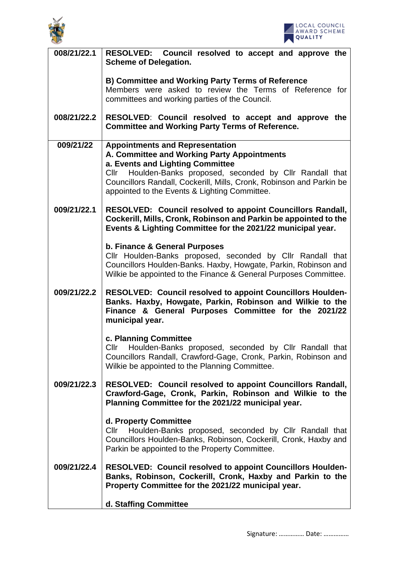



| 008/21/22.1 | RESOLVED: Council resolved to accept and approve the<br><b>Scheme of Delegation.</b>                                                                                                                                                                                                                                |
|-------------|---------------------------------------------------------------------------------------------------------------------------------------------------------------------------------------------------------------------------------------------------------------------------------------------------------------------|
|             | <b>B) Committee and Working Party Terms of Reference</b><br>Members were asked to review the Terms of Reference for<br>committees and working parties of the Council.                                                                                                                                               |
| 008/21/22.2 | RESOLVED: Council resolved to accept and approve the<br><b>Committee and Working Party Terms of Reference.</b>                                                                                                                                                                                                      |
| 009/21/22   | <b>Appointments and Representation</b><br>A. Committee and Working Party Appointments<br>a. Events and Lighting Committee<br>Houlden-Banks proposed, seconded by Cllr Randall that<br>Cllr<br>Councillors Randall, Cockerill, Mills, Cronk, Robinson and Parkin be<br>appointed to the Events & Lighting Committee. |
| 009/21/22.1 | <b>RESOLVED: Council resolved to appoint Councillors Randall,</b><br>Cockerill, Mills, Cronk, Robinson and Parkin be appointed to the<br>Events & Lighting Committee for the 2021/22 municipal year.                                                                                                                |
|             | b. Finance & General Purposes<br>Cllr Houlden-Banks proposed, seconded by Cllr Randall that<br>Councillors Houlden-Banks. Haxby, Howgate, Parkin, Robinson and<br>Wilkie be appointed to the Finance & General Purposes Committee.                                                                                  |
| 009/21/22.2 | <b>RESOLVED: Council resolved to appoint Councillors Houlden-</b><br>Banks. Haxby, Howgate, Parkin, Robinson and Wilkie to the<br>Finance & General Purposes Committee for the 2021/22<br>municipal year.                                                                                                           |
|             | c. Planning Committee<br>Cllr Houlden-Banks proposed, seconded by Cllr Randall that<br>Councillors Randall, Crawford-Gage, Cronk, Parkin, Robinson and<br>Wilkie be appointed to the Planning Committee.                                                                                                            |
| 009/21/22.3 | <b>RESOLVED: Council resolved to appoint Councillors Randall,</b><br>Crawford-Gage, Cronk, Parkin, Robinson and Wilkie to the<br>Planning Committee for the 2021/22 municipal year.                                                                                                                                 |
|             | d. Property Committee<br>Houlden-Banks proposed, seconded by Cllr Randall that<br>Cllr<br>Councillors Houlden-Banks, Robinson, Cockerill, Cronk, Haxby and<br>Parkin be appointed to the Property Committee.                                                                                                        |
| 009/21/22.4 | <b>RESOLVED: Council resolved to appoint Councillors Houlden-</b><br>Banks, Robinson, Cockerill, Cronk, Haxby and Parkin to the<br>Property Committee for the 2021/22 municipal year.                                                                                                                               |
|             | d. Staffing Committee                                                                                                                                                                                                                                                                                               |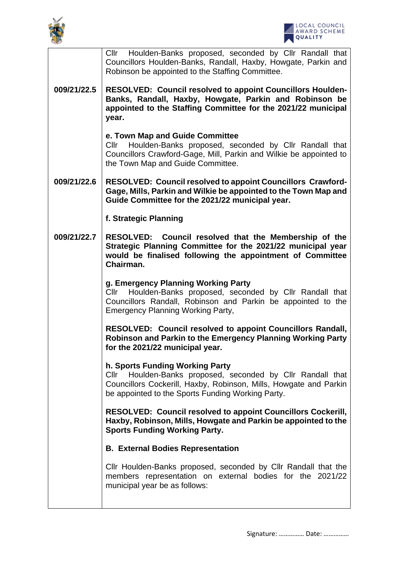



|             | Cllr Houlden-Banks proposed, seconded by Cllr Randall that<br>Councillors Houlden-Banks, Randall, Haxby, Howgate, Parkin and<br>Robinson be appointed to the Staffing Committee.                                                      |
|-------------|---------------------------------------------------------------------------------------------------------------------------------------------------------------------------------------------------------------------------------------|
| 009/21/22.5 | <b>RESOLVED: Council resolved to appoint Councillors Houlden-</b><br>Banks, Randall, Haxby, Howgate, Parkin and Robinson be<br>appointed to the Staffing Committee for the 2021/22 municipal<br>year.                                 |
|             | e. Town Map and Guide Committee<br>Houlden-Banks proposed, seconded by Cllr Randall that<br>Cllr<br>Councillors Crawford-Gage, Mill, Parkin and Wilkie be appointed to<br>the Town Map and Guide Committee.                           |
| 009/21/22.6 | <b>RESOLVED: Council resolved to appoint Councillors Crawford-</b><br>Gage, Mills, Parkin and Wilkie be appointed to the Town Map and<br>Guide Committee for the 2021/22 municipal year.                                              |
|             | f. Strategic Planning                                                                                                                                                                                                                 |
| 009/21/22.7 | RESOLVED: Council resolved that the Membership of the<br>Strategic Planning Committee for the 2021/22 municipal year<br>would be finalised following the appointment of Committee<br>Chairman.                                        |
|             | g. Emergency Planning Working Party<br>Houlden-Banks proposed, seconded by Cllr Randall that<br>Cllr<br>Councillors Randall, Robinson and Parkin be appointed to the<br><b>Emergency Planning Working Party,</b>                      |
|             | RESOLVED: Council resolved to appoint Councillors Randall,<br>Robinson and Parkin to the Emergency Planning Working Party<br>for the 2021/22 municipal year.                                                                          |
|             | h. Sports Funding Working Party<br>Houlden-Banks proposed, seconded by Cllr Randall that<br>Cl <sub>l</sub><br>Councillors Cockerill, Haxby, Robinson, Mills, Howgate and Parkin<br>be appointed to the Sports Funding Working Party. |
|             | <b>RESOLVED: Council resolved to appoint Councillors Cockerill,</b><br>Haxby, Robinson, Mills, Howgate and Parkin be appointed to the<br><b>Sports Funding Working Party.</b>                                                         |
|             | <b>B. External Bodies Representation</b>                                                                                                                                                                                              |
|             | Cllr Houlden-Banks proposed, seconded by Cllr Randall that the<br>members representation on external bodies for the 2021/22<br>municipal year be as follows:                                                                          |
|             |                                                                                                                                                                                                                                       |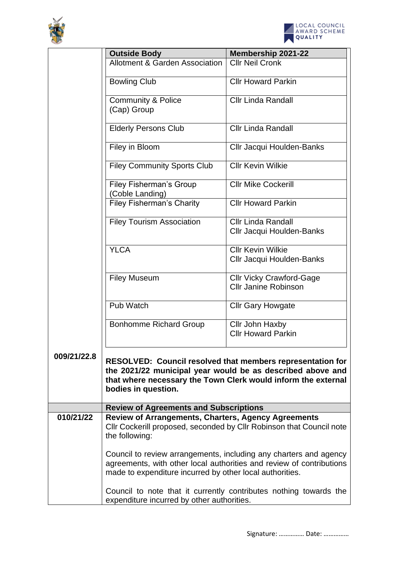



|             | <b>Outside Body</b>                                                          | <b>Membership 2021-22</b>                                                                                                                                                                        |
|-------------|------------------------------------------------------------------------------|--------------------------------------------------------------------------------------------------------------------------------------------------------------------------------------------------|
|             | <b>Allotment &amp; Garden Association</b>                                    | <b>Cllr Neil Cronk</b>                                                                                                                                                                           |
|             | <b>Bowling Club</b>                                                          | <b>Cllr Howard Parkin</b>                                                                                                                                                                        |
|             | <b>Community &amp; Police</b><br>(Cap) Group                                 | <b>Cllr Linda Randall</b>                                                                                                                                                                        |
|             |                                                                              |                                                                                                                                                                                                  |
|             | <b>Elderly Persons Club</b>                                                  | <b>Cllr Linda Randall</b>                                                                                                                                                                        |
|             | Filey in Bloom                                                               | Cllr Jacqui Houlden-Banks                                                                                                                                                                        |
|             | <b>Filey Community Sports Club</b>                                           | <b>CIIr Kevin Wilkie</b>                                                                                                                                                                         |
|             | <b>Filey Fisherman's Group</b><br>(Coble Landing)                            | <b>Cllr Mike Cockerill</b>                                                                                                                                                                       |
|             | <b>Filey Fisherman's Charity</b>                                             | <b>Cllr Howard Parkin</b>                                                                                                                                                                        |
|             | <b>Filey Tourism Association</b>                                             | <b>Cllr Linda Randall</b><br>Cllr Jacqui Houlden-Banks                                                                                                                                           |
|             | <b>YLCA</b>                                                                  | <b>Cllr Kevin Wilkie</b>                                                                                                                                                                         |
|             |                                                                              | Cllr Jacqui Houlden-Banks                                                                                                                                                                        |
|             | <b>Filey Museum</b>                                                          | <b>Cllr Vicky Crawford-Gage</b><br><b>Cllr Janine Robinson</b>                                                                                                                                   |
|             | Pub Watch                                                                    | <b>Cllr Gary Howgate</b>                                                                                                                                                                         |
|             | <b>Bonhomme Richard Group</b>                                                | Cllr John Haxby<br><b>Cllr Howard Parkin</b>                                                                                                                                                     |
| 009/21/22.8 | bodies in question.                                                          | <b>RESOLVED: Council resolved that members representation for</b><br>the 2021/22 municipal year would be as described above and<br>that where necessary the Town Clerk would inform the external |
|             | <b>Review of Agreements and Subscriptions</b>                                |                                                                                                                                                                                                  |
| 010/21/22   | <b>Review of Arrangements, Charters, Agency Agreements</b><br>the following: | Cllr Cockerill proposed, seconded by Cllr Robinson that Council note                                                                                                                             |
|             | made to expenditure incurred by other local authorities.                     | Council to review arrangements, including any charters and agency<br>agreements, with other local authorities and review of contributions                                                        |
|             | expenditure incurred by other authorities.                                   | Council to note that it currently contributes nothing towards the                                                                                                                                |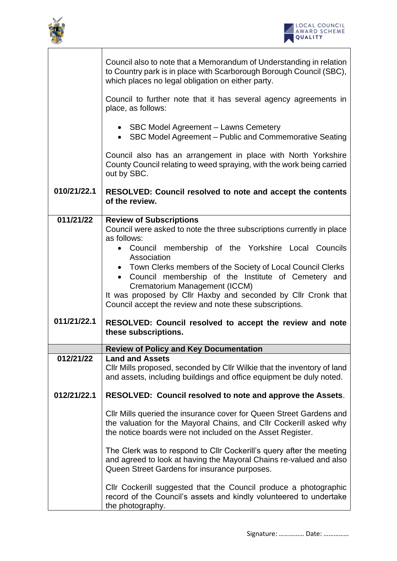



|             | Council also to note that a Memorandum of Understanding in relation<br>to Country park is in place with Scarborough Borough Council (SBC),<br>which places no legal obligation on either party.         |
|-------------|---------------------------------------------------------------------------------------------------------------------------------------------------------------------------------------------------------|
|             | Council to further note that it has several agency agreements in<br>place, as follows:                                                                                                                  |
|             | • SBC Model Agreement - Lawns Cemetery<br>• SBC Model Agreement – Public and Commemorative Seating                                                                                                      |
|             | Council also has an arrangement in place with North Yorkshire<br>County Council relating to weed spraying, with the work being carried<br>out by SBC.                                                   |
| 010/21/22.1 | <b>RESOLVED: Council resolved to note and accept the contents</b><br>of the review.                                                                                                                     |
| 011/21/22   | <b>Review of Subscriptions</b><br>Council were asked to note the three subscriptions currently in place<br>as follows:                                                                                  |
|             | Council membership of the Yorkshire Local Councils                                                                                                                                                      |
|             | Association<br>• Town Clerks members of the Society of Local Council Clerks                                                                                                                             |
|             | • Council membership of the Institute of Cemetery and<br>Crematorium Management (ICCM)                                                                                                                  |
|             | It was proposed by Cllr Haxby and seconded by Cllr Cronk that<br>Council accept the review and note these subscriptions.                                                                                |
| 011/21/22.1 | RESOLVED: Council resolved to accept the review and note<br>these subscriptions.                                                                                                                        |
|             | <b>Review of Policy and Key Documentation</b>                                                                                                                                                           |
| 012/21/22   | <b>Land and Assets</b><br>CIIr Mills proposed, seconded by CIIr Wilkie that the inventory of land<br>and assets, including buildings and office equipment be duly noted.                                |
| 012/21/22.1 | RESOLVED: Council resolved to note and approve the Assets.                                                                                                                                              |
|             | CIIr Mills queried the insurance cover for Queen Street Gardens and<br>the valuation for the Mayoral Chains, and Cllr Cockerill asked why<br>the notice boards were not included on the Asset Register. |
|             | The Clerk was to respond to Cllr Cockerill's query after the meeting<br>and agreed to look at having the Mayoral Chains re-valued and also<br>Queen Street Gardens for insurance purposes.              |
|             | Cllr Cockerill suggested that the Council produce a photographic<br>record of the Council's assets and kindly volunteered to undertake<br>the photography.                                              |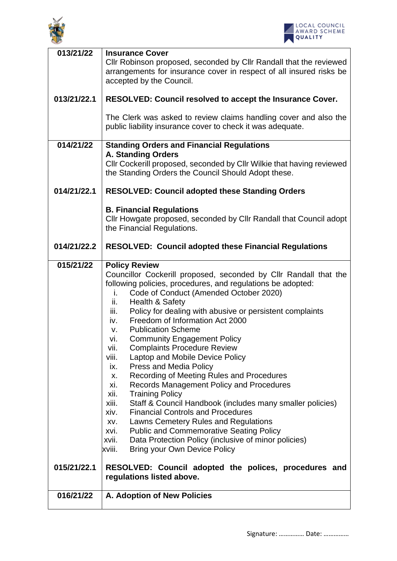



| 013/21/22   | <b>Insurance Cover</b><br>Cllr Robinson proposed, seconded by Cllr Randall that the reviewed<br>arrangements for insurance cover in respect of all insured risks be<br>accepted by the Council.                                                                                                                                                                                                                                                                                                                                                                                                                                                                                                                                                                                                                                                                                                                                                                                                                                                                    |
|-------------|--------------------------------------------------------------------------------------------------------------------------------------------------------------------------------------------------------------------------------------------------------------------------------------------------------------------------------------------------------------------------------------------------------------------------------------------------------------------------------------------------------------------------------------------------------------------------------------------------------------------------------------------------------------------------------------------------------------------------------------------------------------------------------------------------------------------------------------------------------------------------------------------------------------------------------------------------------------------------------------------------------------------------------------------------------------------|
| 013/21/22.1 | RESOLVED: Council resolved to accept the Insurance Cover.                                                                                                                                                                                                                                                                                                                                                                                                                                                                                                                                                                                                                                                                                                                                                                                                                                                                                                                                                                                                          |
|             | The Clerk was asked to review claims handling cover and also the<br>public liability insurance cover to check it was adequate.                                                                                                                                                                                                                                                                                                                                                                                                                                                                                                                                                                                                                                                                                                                                                                                                                                                                                                                                     |
| 014/21/22   | <b>Standing Orders and Financial Regulations</b><br><b>A. Standing Orders</b>                                                                                                                                                                                                                                                                                                                                                                                                                                                                                                                                                                                                                                                                                                                                                                                                                                                                                                                                                                                      |
|             | Cllr Cockerill proposed, seconded by Cllr Wilkie that having reviewed<br>the Standing Orders the Council Should Adopt these.                                                                                                                                                                                                                                                                                                                                                                                                                                                                                                                                                                                                                                                                                                                                                                                                                                                                                                                                       |
| 014/21/22.1 | <b>RESOLVED: Council adopted these Standing Orders</b>                                                                                                                                                                                                                                                                                                                                                                                                                                                                                                                                                                                                                                                                                                                                                                                                                                                                                                                                                                                                             |
|             | <b>B. Financial Regulations</b><br>Cllr Howgate proposed, seconded by Cllr Randall that Council adopt<br>the Financial Regulations.                                                                                                                                                                                                                                                                                                                                                                                                                                                                                                                                                                                                                                                                                                                                                                                                                                                                                                                                |
| 014/21/22.2 | <b>RESOLVED: Council adopted these Financial Regulations</b>                                                                                                                                                                                                                                                                                                                                                                                                                                                                                                                                                                                                                                                                                                                                                                                                                                                                                                                                                                                                       |
| 015/21/22   | <b>Policy Review</b><br>Councillor Cockerill proposed, seconded by Cllr Randall that the<br>following policies, procedures, and regulations be adopted:<br>Code of Conduct (Amended October 2020)<br>i.<br><b>Health &amp; Safety</b><br>ii.<br>Policy for dealing with abusive or persistent complaints<br>iii.<br>Freedom of Information Act 2000<br>iv.<br><b>Publication Scheme</b><br>V.<br><b>Community Engagement Policy</b><br>vi.<br><b>Complaints Procedure Review</b><br>vii.<br>Laptop and Mobile Device Policy<br>viii.<br><b>Press and Media Policy</b><br>ix.<br>Recording of Meeting Rules and Procedures<br>X.<br>Records Management Policy and Procedures<br>xi.<br><b>Training Policy</b><br>xii.<br>Staff & Council Handbook (includes many smaller policies)<br>xiii.<br><b>Financial Controls and Procedures</b><br>xiv.<br>Lawns Cemetery Rules and Regulations<br>XV.<br><b>Public and Commemorative Seating Policy</b><br>xvi.<br>Data Protection Policy (inclusive of minor policies)<br>xvii.<br>Bring your Own Device Policy<br>xviii. |
| 015/21/22.1 | RESOLVED: Council adopted the polices, procedures and<br>regulations listed above.                                                                                                                                                                                                                                                                                                                                                                                                                                                                                                                                                                                                                                                                                                                                                                                                                                                                                                                                                                                 |
| 016/21/22   | A. Adoption of New Policies                                                                                                                                                                                                                                                                                                                                                                                                                                                                                                                                                                                                                                                                                                                                                                                                                                                                                                                                                                                                                                        |